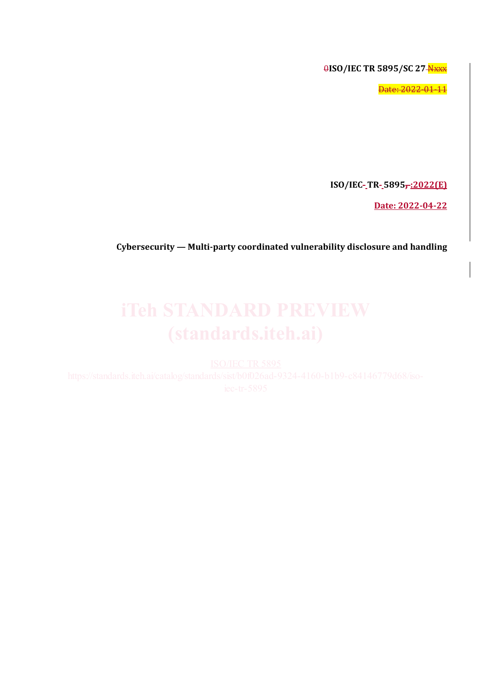0**ISO/IEC TR 5895/SC 27** Nxxx

Date: 2022-01-11

**ISO/IEC TR 5895, :2022(E)**

**Date: 2022-04-22**

**Cybersecurity — Multi-party coordinated vulnerability disclosure and handling**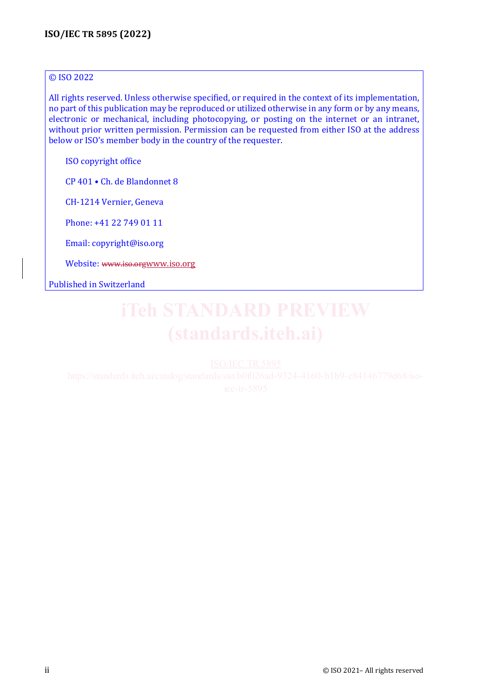## © ISO 2022

All rights reserved. Unless otherwise specified, or required in the context of its implementation, no part of this publication may be reproduced or utilized otherwise in any form or by any means, electronic or mechanical, including photocopying, or posting on the internet or an intranet, without prior written permission. Permission can be requested from either ISO at the address below or ISO's member body in the country of the requester.

ISO copyright office

CP 401 • Ch. de Blandonnet 8

CH-1214 Vernier, Geneva

Phone: +41 22 749 01 11

Email: copyright@iso.org

Website: www.iso.or[gwww.iso.org](http://www.iso.org/)

Published in Switzerland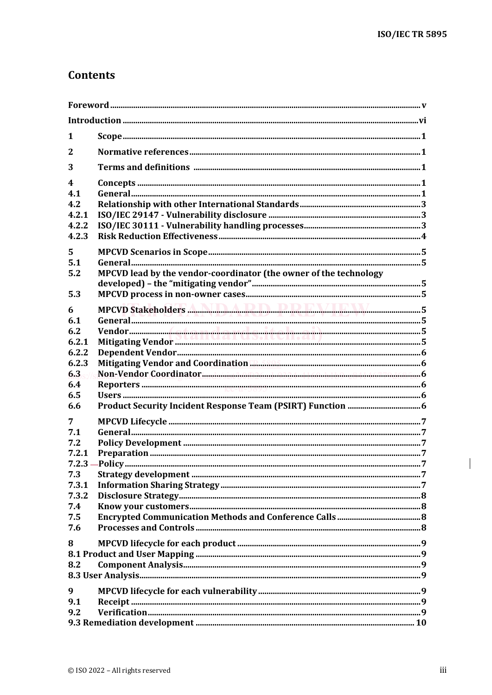# **Contents**

| 1                              |                                                                                                                          |  |
|--------------------------------|--------------------------------------------------------------------------------------------------------------------------|--|
| $\overline{2}$                 |                                                                                                                          |  |
| 3                              |                                                                                                                          |  |
| $\overline{\mathbf{4}}$<br>4.1 |                                                                                                                          |  |
| 4.2                            |                                                                                                                          |  |
| 4.2.1<br>4.2.2                 |                                                                                                                          |  |
| 4.2.3                          |                                                                                                                          |  |
| 5                              |                                                                                                                          |  |
| 5.1                            |                                                                                                                          |  |
| 5.2                            | MPCVD lead by the vendor-coordinator (the owner of the technology                                                        |  |
| 5.3                            |                                                                                                                          |  |
| 6                              |                                                                                                                          |  |
| 6.1                            |                                                                                                                          |  |
| 6.2                            |                                                                                                                          |  |
| 6.2.1<br>6.2.2                 |                                                                                                                          |  |
| 6.2.3                          | Mitigating Vendor and Coordination <b>ERUS ROLL COOPS</b> 2014 01:00 Mitigating Vendor and Coordination <b>ERUS 2016</b> |  |
| 6.3                            |                                                                                                                          |  |
| 6.4                            |                                                                                                                          |  |
| 6.5                            |                                                                                                                          |  |
| 6.6                            |                                                                                                                          |  |
| 7                              |                                                                                                                          |  |
| 7.1<br>7.2                     |                                                                                                                          |  |
| 7.2.1                          |                                                                                                                          |  |
|                                |                                                                                                                          |  |
| 7.3                            |                                                                                                                          |  |
| 7.3.1                          |                                                                                                                          |  |
| 7.3.2                          |                                                                                                                          |  |
| 7.4<br>7.5                     |                                                                                                                          |  |
| 7.6                            |                                                                                                                          |  |
| 8                              |                                                                                                                          |  |
|                                |                                                                                                                          |  |
| 8.2                            |                                                                                                                          |  |
|                                |                                                                                                                          |  |
| 9                              |                                                                                                                          |  |
| 9.1                            |                                                                                                                          |  |
| 9.2                            |                                                                                                                          |  |
|                                |                                                                                                                          |  |

 $\overline{\phantom{a}}$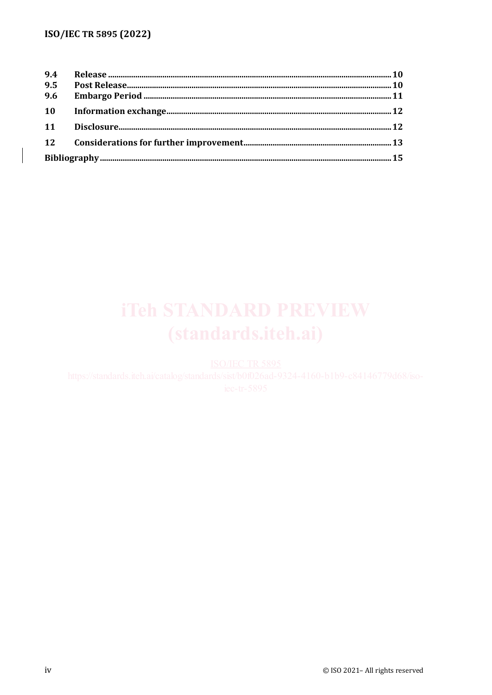## ISO/IEC TR 5895 (2022)

| 9.5 |  |  |  |  |  |
|-----|--|--|--|--|--|
| 9.6 |  |  |  |  |  |
| 10  |  |  |  |  |  |
|     |  |  |  |  |  |
|     |  |  |  |  |  |
|     |  |  |  |  |  |
|     |  |  |  |  |  |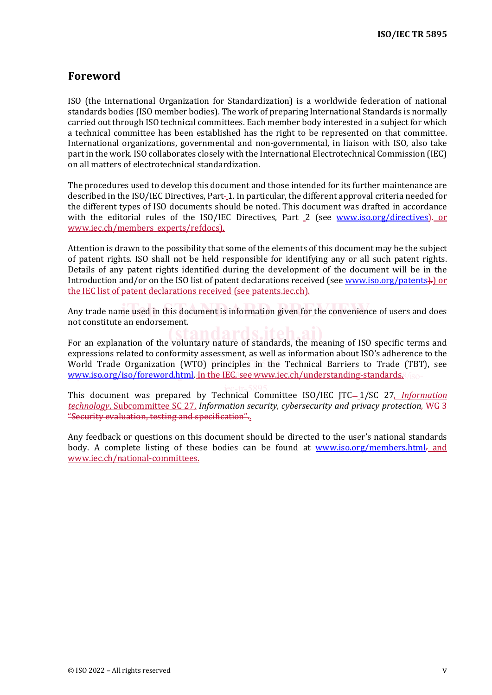# **Foreword**

ISO (the International Organization for Standardization) is a worldwide federation of national standards bodies (ISO member bodies). The work of preparing International Standards is normally carried out through ISO technical committees. Each member body interested in a subject for which a technical committee has been established has the right to be represented on that committee. International organizations, governmental and non-governmental, in liaison with ISO, also take part in the work. ISO collaborates closely with the International Electrotechnical Commission (IEC) on all matters of electrotechnical standardization.

The procedures used to develop this document and those intended for its further maintenance are described in the ISO/IEC Directives, Part-1. In particular, the different approval criteria needed for the different types of ISO documents should be noted. This document was drafted in accordance with the editorial rules of the ISO/IEC Directives, Part-2 (see [www.iso.org/directives\)](https://www.iso.org/directives-and-policies.html). or www.iec.ch/members\_experts/refdocs).

Attention is drawn to the possibility that some of the elements of this document may be the subject of patent rights. ISO shall not be held responsible for identifying any or all such patent rights. Details of any patent rights identified during the development of the document will be in the Introduction and/or on the ISO list of patent declarations received (se[e www.iso.org/patents\)](https://www.iso.org/iso-standards-and-patents.html).) or the IEC list of patent declarations received (see patents.iec.ch).

Any trade name used in this document is information given for the convenience of users and does not constitute an endorsement.

For an explanation of the voluntary nature of standards, the meaning of ISO specific terms and **For** expressions related to conformity assessment, as well as information about ISO's adherence to the World Trade Organization (WTO) principles in the Technical Barriers to Trade (TBT), see <u>www.iso.org/iso/foreword.html. In the IEC, see www.iec.ch/understanding-standards. $\%$ so-</u>

This document was prepared by Technical Committee ISO/IEC JTC-1/SC 27<u>, Information</u> *technology*, Subcommittee SC 27, *Information security, cybersecurity and privacy protection*, WG 3 "Security evaluation, testing and specification".. iec-tr-5895

Any feedback or questions on this document should be directed to the user's national standards body. A complete listing of these bodies can be found at [www.iso.org/members.html.](https://www.iso.org/members.html) and www.iec.ch/national-committees.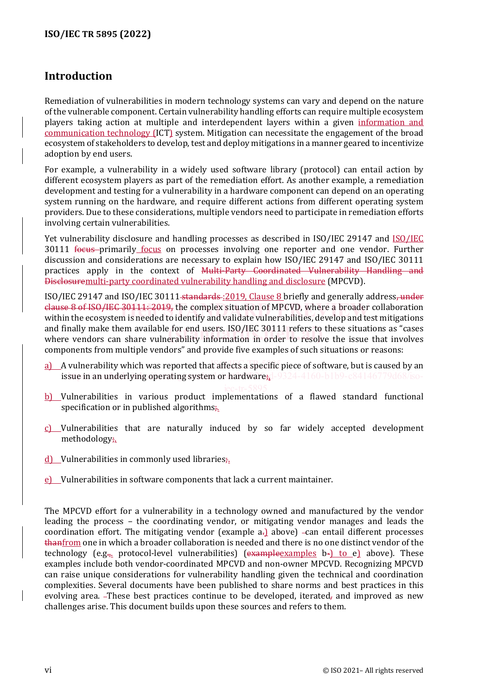# **Introduction**

Remediation of vulnerabilities in modern technology systems can vary and depend on the nature of the vulnerable component. Certain vulnerability handling efforts can require multiple ecosystem players taking action at multiple and interdependent layers within a given information and communication technology (ICT) system. Mitigation can necessitate the engagement of the broad ecosystem of stakeholders to develop, test and deploy mitigations in a manner geared to incentivize adoption by end users.

For example, a vulnerability in a widely used software library (protocol) can entail action by different ecosystem players as part of the remediation effort. As another example, a remediation development and testing for a vulnerability in a hardware component can depend on an operating system running on the hardware, and require different actions from different operating system providers. Due to these considerations, multiple vendors need to participate in remediation efforts involving certain vulnerabilities.

Yet vulnerability disclosure and handling processes as described in ISO/IEC 29147 and **ISO/IEC** 30111 focus primarily focus on processes involving one reporter and one vendor. Further discussion and considerations are necessary to explain how ISO/IEC 29147 and ISO/IEC 30111 practices apply in the context of Multi-Party Coordinated Vulnerability Handling and Disclosuremulti-party coordinated vulnerability handling and disclosure (MPCVD).

ISO/IEC 29147 and ISO/IEC 30111 standards : 2019, Clause 8 briefly and generally address, under clause 8 of ISO/IEC 30111: 2019, the complex situation of MPCVD, where a broader collaboration **iTeh STANDARD PREVIEW** within the ecosystem is needed to identify and validate vulnerabilities, develop and test mitigations and finally make them available for end users. ISO/IEC 30111 refers to these situations as "cases and finally make them available for end users. ISO/IEC 30111 refers to these situations as "cases where vendors can share vulnerability information in order to resolve the issue that involves components from multiple vendors" and provide five examples of such situations or reasons:

a) A vulnerability which was reported that affects a specific piece of software, but is caused by an issue in an underlying operating system or hardware; 1-9324-4160-b1b9-c84146779d68/iso-

iec-tr-5895

- b) Vulnerabilities in various product implementations of a flawed standard functional specification or in published algorithms;
- c) Vulnerabilities that are naturally induced by so far widely accepted development methodology;.
- $\underline{d}$  Vulnerabilities in commonly used libraries<sub>*i*-</sub>
- e) Vulnerabilities in software components that lack a current maintainer.

The MPCVD effort for a vulnerability in a technology owned and manufactured by the vendor leading the process – the coordinating vendor, or mitigating vendor manages and leads the coordination effort. The mitigating vendor (example  $a<sub>r</sub>$ ) above) -can entail different processes thanfrom one in which a broader collaboration is needed and there is no one distinct vendor of the technology (e.g<sub> $\overline{v}$ </sub> protocol-level vulnerabilities) (example examples b-) to e) above). These examples include both vendor-coordinated MPCVD and non-owner MPCVD. Recognizing MPCVD can raise unique considerations for vulnerability handling given the technical and coordination complexities. Several documents have been published to share norms and best practices in this evolving area. -These best practices continue to be developed, iterated, and improved as new challenges arise. This document builds upon these sources and refers to them.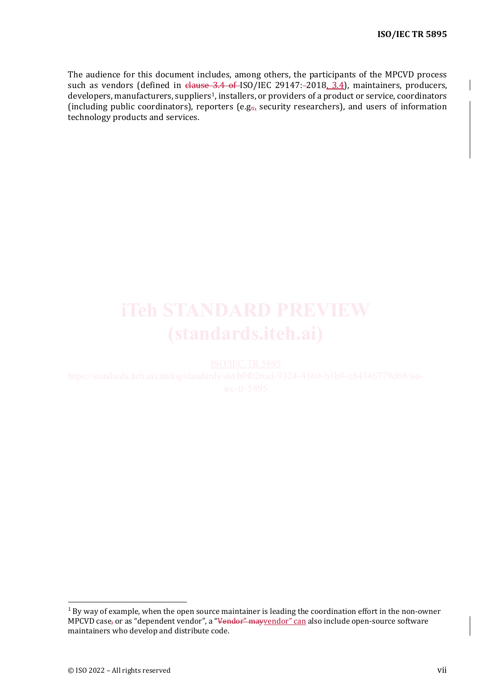The audience for this document includes, among others, the participants of the MPCVD process such as vendors (defined in clause 3.4 of ISO/IEC 29147:-2018, 3.4), maintainers, producers, developers, manufacturers, suppliers<sup>[1](#page-6-0)</sup>, installers, or providers of a product or service, coordinators (including public coordinators), reporters (e.g., security researchers), and users of information technology products and services.

# Teh STANDARD PREVIEW<br>
(standards.iteh.ai/catalog/standards/sixt/b0/026ad-9324-4160-b1b9-c84146<br>
icc-tr-5895<br>
icc-tr-5895<br> **iCombation of the code.**<br> **iPhy way of example, when the open source maintainer is leading the coor**

<span id="page-6-0"></span> $1$  By way of example, when the open source maintainer is leading the coordination effort in the non-owner MPCVD case, or as "dependent vendor", a "<del>Vendor" may</del>vendor" can also include open-source software maintainers who develop and distribute code.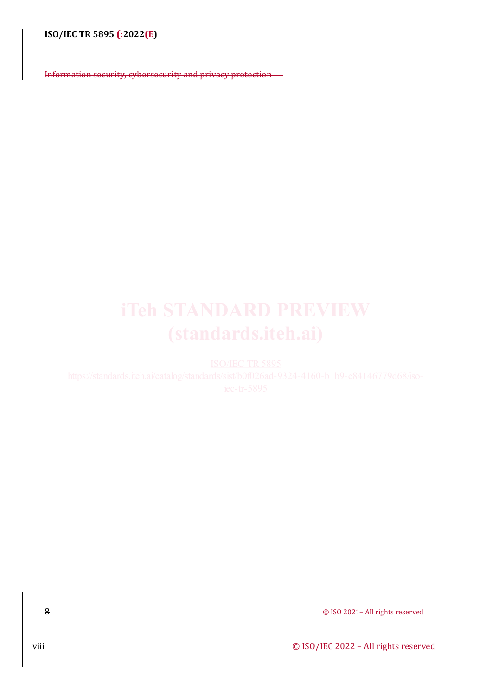<span id="page-7-0"></span>**ISO/IEC TR 5895 (:2022(E)**

Information security, cybersecurity and privacy protection —

8 COMPUTER SERVED AS A CONSTRUCTED AND THE SERVED OF SOME ASSESSMENT AND THE SERVED OF SOLUTION OF SOLUTION OF SOLUTION OF SOLUTION OF SOLUTION OF SOLUTION OF SOLUTION OF SOLUTION OF SOLUTION OF SOLUTION OF SOLUTION OF SOL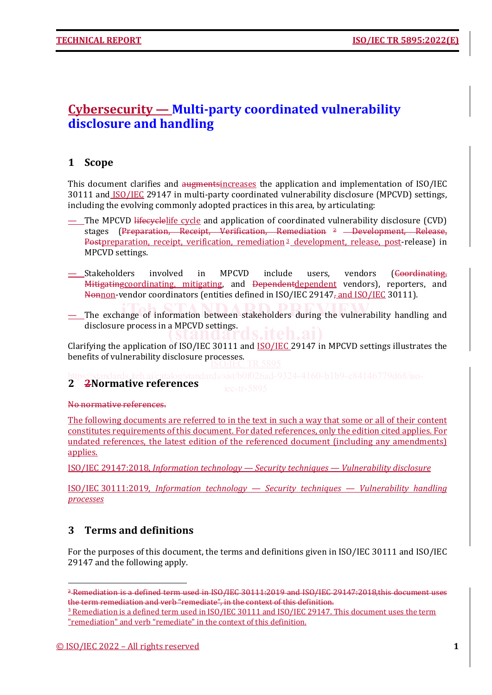# **Cybersecurity — Multi-party coordinated vulnerability disclosure and handling**

# **1 Scope**

This document clarifies and augmentsincreases the application and implementation of ISO/IEC 30111 and ISO/IEC 29147 in multi-party coordinated vulnerability disclosure (MPCVD) settings, including the evolving commonly adopted practices in this area, by articulating:

- The MPCVD lifecyclelife cycle and application of coordinated v[u](#page-7-0)lnerability disclosure (CVD) stages (Preparation, Receipt, Verification, R[em](#page-8-0)ediation  $2$  -Development, Release, Postpreparation, receipt, verification, remediation 3 development, release, post-release) in MPCVD settings.
- <u>— S</u>takeholders involved in MPCVD include users, vendors (<del>Coordinating,</del> Mitigatingcoordinating, mitigating, and Dependentdependent vendors), reporters, and Nonnon-vendor coordinators (entities defined in ISO/IEC 29147, and ISO/IEC 30111).
- The exchange of information between stakeholders during the vulnerability handling and disclosure process in a MPCVD settings. **(standards.iteh.ai)**

Clarifying the application of ISO/IEC 30111 and ISO/IEC 29147 in MPCVD settings illustrates the benefits of vulnerability disclosure processes. **ISO/IEC TR 5895** 

**2 2Normative references**

No normative references.

The following documents are referred to in the text in such a way that some or all of their content constitutes requirements of this document. For dated references, only the edition cited applies. For undated references, the latest edition of the referenced document (including any amendments) applies. The exchange of information between stakeholders during the vulnerab<br>
disclosure process in a MPCVD settings.<br>
Clarifying the application of ISO/IEC 30111 and <u>ISO/IEC</u> 29147 in MPCVD setti<br>
benefits of vulnerability discl

ISO/IEC 29147:2018, *Information technology — Security techniques — Vulnerability disclosure*

ISO/IEC 30111:2019, *Information technology — Security techniques — Vulnerability handling processes*

# **3 Terms and definitions**

For the purposes of this document, the terms and definitions given in ISO/IEC 30111 and ISO/IEC 29147 and the following apply.

 $2$  Remediation is a defined term used in ISO/IEC 30111:2019 and ISO/IEC 29147:2018, this document uses the term remediation and verb "remediate", in the context of this definition.

<span id="page-8-0"></span> $\frac{3}{3}$  Remediation is a defined term used in ISO/IEC 30111 and ISO/IEC 29147. This document uses the term "remediation" and verb "remediate" in the context of this definition.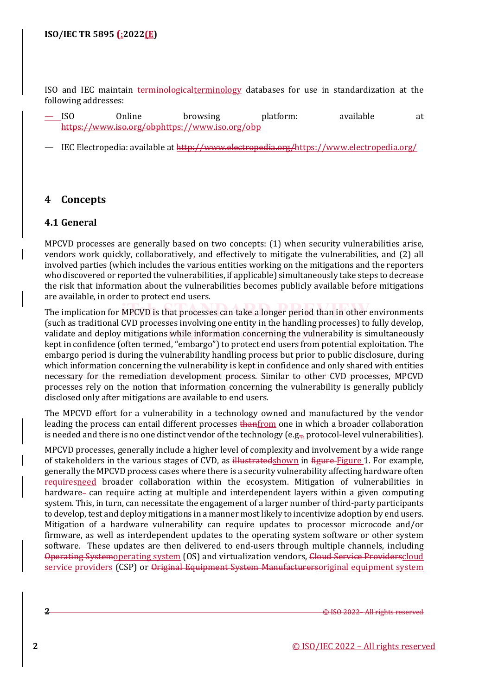ISO and IEC maintain terminologicalterminology databases for use in standardization at the following addresses:

| $-$ ISO                                        | ')nline | browsing | platform: | available |  |  |  |
|------------------------------------------------|---------|----------|-----------|-----------|--|--|--|
| https://www.iso.org/obphttps://www.iso.org/obp |         |          |           |           |  |  |  |

— IEC Electropedia: available at http://www.electropedia.org[/https://www.electropedia.org/](https://www.electropedia.org/)

## **4 Concepts**

## **4.1 General**

MPCVD processes are generally based on two concepts: (1) when security vulnerabilities arise, vendors work quickly, collaboratively, and effectively to mitigate the vulnerabilities, and (2) all involved parties (which includes the various entities working on the mitigations and the reporters who discovered or reported the vulnerabilities, if applicable) simultaneously take steps to decrease the risk that information about the vulnerabilities becomes publicly available before mitigations are available, in order to protect end users.

The implication for MPCVD is that processes can take a longer period than in other environments (such as traditional CVD processes involving one entity in the handling processes) to fully develop, (such as traditional CVD processes involving one entity in the nanuling processes) to fully develop,<br>validate and deploy mitigations while information concerning the vulnerability is simultaneously<br>lient in earlidance (oft kept in confidence (often termed, "embargo") to protect end users from potential exploitation. The embargo period is during the vulnerability handling process but prior to public disclosure, during which information concerning the vulnerability is kept in confidence and only shared with entities necessary for the remediation development process. Similar to other CVD processes, MPCVD processes rely on the notion that information concerning the vulnerability is generally publicly disclosed only after mitigations are available to end users.

The MPCVD effort for a vulnerability in a technology owned and manufactured by the vendor leading the process can entail different processes thanfrom one in which a broader collaboration is needed and there is no one distinct vendor of the technology (e.g., protocol-level vulnerabilities).

MPCVD processes, generally include a higher level of complexity and involvement by a wide range of stakeholders in the various stages of CVD, as illustratedshown in figure Figure 1. For example, generally the MPCVD process cases where there is a security vulnerability affecting hardware often requiresneed broader collaboration within the ecosystem. Mitigation of vulnerabilities in hardware– can require acting at multiple and interdependent layers within a given computing system. This, in turn, can necessitate the engagement of a larger number of third-party participants to develop, test and deploy mitigations in a manner most likely to incentivize adoption by end users. Mitigation of a hardware vulnerability can require updates to processor microcode and/or firmware, as well as interdependent updates to the operating system software or other system software. These updates are then delivered to end-users through multiple channels, including Operating Systemoperating system (OS) and virtualization vendors, Cloud Service Providerscloud service providers (CSP) or Original Equipment System Manufacturersoriginal equipment system

**2** © ISO 2022– All rights reserved